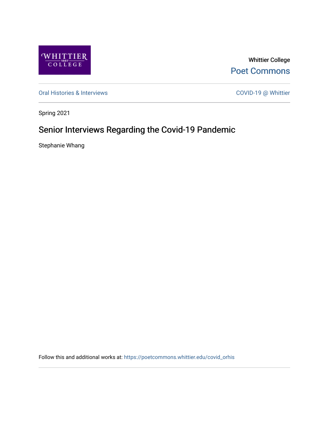

Whittier College [Poet Commons](https://poetcommons.whittier.edu/) 

[Oral Histories & Interviews](https://poetcommons.whittier.edu/covid_orhis) COVID-19 @ Whittier

Spring 2021

## Senior Interviews Regarding the Covid-19 Pandemic

Stephanie Whang

Follow this and additional works at: [https://poetcommons.whittier.edu/covid\\_orhis](https://poetcommons.whittier.edu/covid_orhis?utm_source=poetcommons.whittier.edu%2Fcovid_orhis%2F2&utm_medium=PDF&utm_campaign=PDFCoverPages)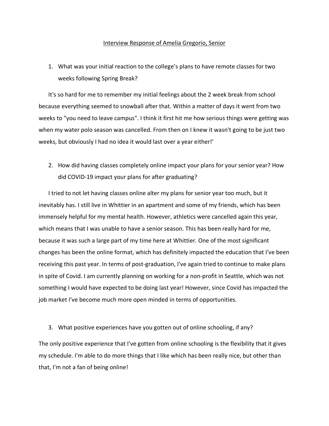## Interview Response of Amelia Gregorio, Senior

1. What was your initial reaction to the college's plans to have remote classes for two weeks following Spring Break?

It's so hard for me to remember my initial feelings about the 2 week break from school because everything seemed to snowball after that. Within a matter of days it went from two weeks to "you need to leave campus". I think it first hit me how serious things were getting was when my water polo season was cancelled. From then on I knew it wasn't going to be just two weeks, but obviously I had no idea it would last over a year either!'

2. How did having classes completely online impact your plans for your senior year? How did COVID-19 impact your plans for after graduating?

I tried to not let having classes online alter my plans for senior year too much, but it inevitably has. I still live in Whittier in an apartment and some of my friends, which has been immensely helpful for my mental health. However, athletics were cancelled again this year, which means that I was unable to have a senior season. This has been really hard for me, because it was such a large part of my time here at Whittier. One of the most significant changes has been the online format, which has definitely impacted the education that I've been receiving this past year. In terms of post-graduation, I've again tried to continue to make plans in spite of Covid. I am currently planning on working for a non-profit in Seattle, which was not something I would have expected to be doing last year! However, since Covid has impacted the job market I've become much more open minded in terms of opportunities.

3. What positive experiences have you gotten out of online schooling, if any?

The only positive experience that I've gotten from online schooling is the flexibility that it gives my schedule. I'm able to do more things that I like which has been really nice, but other than that, I'm not a fan of being online!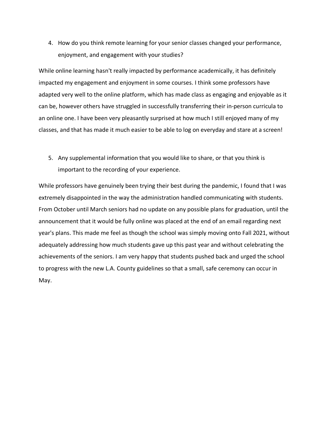4. How do you think remote learning for your senior classes changed your performance, enjoyment, and engagement with your studies?

While online learning hasn't really impacted by performance academically, it has definitely impacted my engagement and enjoyment in some courses. I think some professors have adapted very well to the online platform, which has made class as engaging and enjoyable as it can be, however others have struggled in successfully transferring their in-person curricula to an online one. I have been very pleasantly surprised at how much I still enjoyed many of my classes, and that has made it much easier to be able to log on everyday and stare at a screen!

5. Any supplemental information that you would like to share, or that you think is important to the recording of your experience.

While professors have genuinely been trying their best during the pandemic, I found that I was extremely disappointed in the way the administration handled communicating with students. From October until March seniors had no update on any possible plans for graduation, until the announcement that it would be fully online was placed at the end of an email regarding next year's plans. This made me feel as though the school was simply moving onto Fall 2021, without adequately addressing how much students gave up this past year and without celebrating the achievements of the seniors. I am very happy that students pushed back and urged the school to progress with the new L.A. County guidelines so that a small, safe ceremony can occur in May.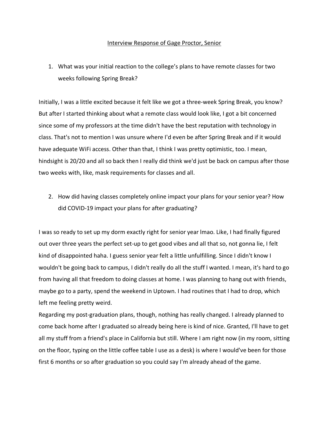## Interview Response of Gage Proctor, Senior

1. What was your initial reaction to the college's plans to have remote classes for two weeks following Spring Break?

Initially, I was a little excited because it felt like we got a three-week Spring Break, you know? But after I started thinking about what a remote class would look like, I got a bit concerned since some of my professors at the time didn't have the best reputation with technology in class. That's not to mention I was unsure where I'd even be after Spring Break and if it would have adequate WiFi access. Other than that, I think I was pretty optimistic, too. I mean, hindsight is 20/20 and all so back then I really did think we'd just be back on campus after those two weeks with, like, mask requirements for classes and all.

2. How did having classes completely online impact your plans for your senior year? How did COVID-19 impact your plans for after graduating?

I was so ready to set up my dorm exactly right for senior year lmao. Like, I had finally figured out over three years the perfect set-up to get good vibes and all that so, not gonna lie, I felt kind of disappointed haha. I guess senior year felt a little unfulfilling. Since I didn't know I wouldn't be going back to campus, I didn't really do all the stuff I wanted. I mean, it's hard to go from having all that freedom to doing classes at home. I was planning to hang out with friends, maybe go to a party, spend the weekend in Uptown. I had routines that I had to drop, which left me feeling pretty weird.

Regarding my post-graduation plans, though, nothing has really changed. I already planned to come back home after I graduated so already being here is kind of nice. Granted, I'll have to get all my stuff from a friend's place in California but still. Where I am right now (in my room, sitting on the floor, typing on the little coffee table I use as a desk) is where I would've been for those first 6 months or so after graduation so you could say I'm already ahead of the game.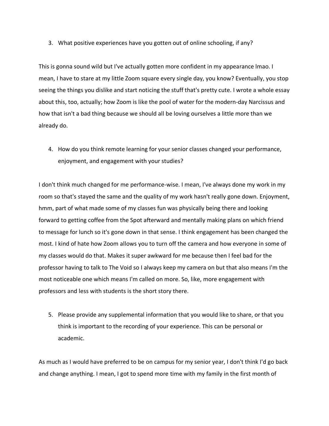3. What positive experiences have you gotten out of online schooling, if any?

This is gonna sound wild but I've actually gotten more confident in my appearance lmao. I mean, I have to stare at my little Zoom square every single day, you know? Eventually, you stop seeing the things you dislike and start noticing the stuff that's pretty cute. I wrote a whole essay about this, too, actually; how Zoom is like the pool of water for the modern-day Narcissus and how that isn't a bad thing because we should all be loving ourselves a little more than we already do.

4. How do you think remote learning for your senior classes changed your performance, enjoyment, and engagement with your studies?

I don't think much changed for me performance-wise. I mean, I've always done my work in my room so that's stayed the same and the quality of my work hasn't really gone down. Enjoyment, hmm, part of what made some of my classes fun was physically being there and looking forward to getting coffee from the Spot afterward and mentally making plans on which friend to message for lunch so it's gone down in that sense. I think engagement has been changed the most. I kind of hate how Zoom allows you to turn off the camera and how everyone in some of my classes would do that. Makes it super awkward for me because then I feel bad for the professor having to talk to The Void so I always keep my camera on but that also means I'm the most noticeable one which means I'm called on more. So, like, more engagement with professors and less with students is the short story there.

5. Please provide any supplemental information that you would like to share, or that you think is important to the recording of your experience. This can be personal or academic.

As much as I would have preferred to be on campus for my senior year, I don't think I'd go back and change anything. I mean, I got to spend more time with my family in the first month of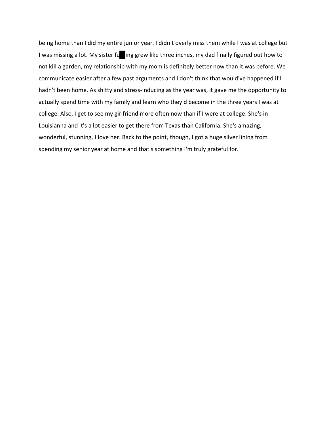being home than I did my entire junior year. I didn't overly miss them while I was at college but I was missing a lot. My sister furting grew like three inches, my dad finally figured out how to not kill a garden, my relationship with my mom is definitely better now than it was before. We communicate easier after a few past arguments and I don't think that would've happened if I hadn't been home. As shitty and stress-inducing as the year was, it gave me the opportunity to actually spend time with my family and learn who they'd become in the three years I was at college. Also, I get to see my girlfriend more often now than if I were at college. She's in Louisianna and it's a lot easier to get there from Texas than California. She's amazing, wonderful, stunning, I love her. Back to the point, though, I got a huge silver lining from spending my senior year at home and that's something I'm truly grateful for.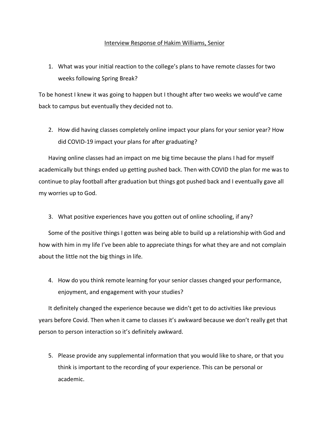## Interview Response of Hakim Williams, Senior

1. What was your initial reaction to the college's plans to have remote classes for two weeks following Spring Break?

To be honest I knew it was going to happen but I thought after two weeks we would've came back to campus but eventually they decided not to.

2. How did having classes completely online impact your plans for your senior year? How did COVID-19 impact your plans for after graduating?

Having online classes had an impact on me big time because the plans I had for myself academically but things ended up getting pushed back. Then with COVID the plan for me was to continue to play football after graduation but things got pushed back and I eventually gave all my worries up to God.

3. What positive experiences have you gotten out of online schooling, if any?

Some of the positive things I gotten was being able to build up a relationship with God and how with him in my life I've been able to appreciate things for what they are and not complain about the little not the big things in life.

4. How do you think remote learning for your senior classes changed your performance, enjoyment, and engagement with your studies?

It definitely changed the experience because we didn't get to do activities like previous years before Covid. Then when it came to classes it's awkward because we don't really get that person to person interaction so it's definitely awkward.

5. Please provide any supplemental information that you would like to share, or that you think is important to the recording of your experience. This can be personal or academic.